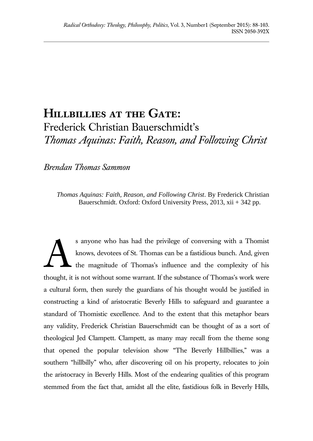## **Hillbillies at the Gate:**  Frederick Christian Bauerschmidt's *Thomas Aquinas: Faith, Reason, and Following Christ*

*Brendan Thomas Sammon*

*Thomas Aquinas: Faith, Reason, and Following Christ*. By Frederick Christian Bauerschmidt. Oxford: Oxford University Press, 2013, xii + 342 pp.

s anyone who has had the privilege of conversing with a Thomist knows, devotees of St. Thomas can be a fastidious bunch. And, given the magnitude of Thomas's influence and the complexity of his thought, it is not without some warrant. If the substance of Thomas's work were a cultural form, then surely the guardians of his thought would be justified in constructing a kind of aristocratic Beverly Hills to safeguard and guarantee a standard of Thomistic excellence. And to the extent that this metaphor bears any validity, Frederick Christian Bauerschmidt can be thought of as a sort of theological Jed Clampett. Clampett, as many may recall from the theme song that opened the popular television show "The Beverly Hillbillies," was a southern "hillbilly" who, after discovering oil on his property, relocates to join the aristocracy in Beverly Hills. Most of the endearing qualities of this program stemmed from the fact that, amidst all the elite, fastidious folk in Beverly Hills, A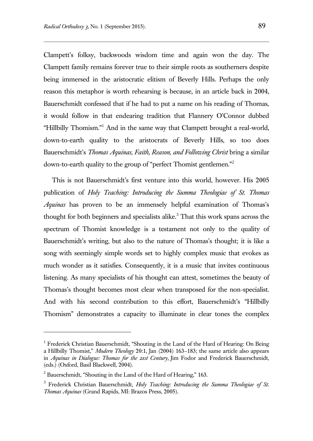Clampett's folksy, backwoods wisdom time and again won the day. The Clampett family remains forever true to their simple roots as southerners despite being immersed in the aristocratic elitism of Beverly Hills. Perhaps the only reason this metaphor is worth rehearsing is because, in an article back in 2004, Bauerschmidt confessed that if he had to put a name on his reading of Thomas, it would follow in that endearing tradition that Flannery O'Connor dubbed "Hillbilly Thomism."<sup>1</sup> And in the same way that Clampett brought a real-world, down-to-earth quality to the aristocrats of Beverly Hills, so too does Bauerschmidt's *Thomas Aquinas, Faith, Reason, and Following Christ* bring a similar down-to-earth quality to the group of "perfect Thomist gentlemen."<sup>2</sup>

This is not Bauerschmidt's first venture into this world, however. His 2005 publication of *Holy Teaching: Introducing the Summa Theologiae of St. Thomas Aquinas* has proven to be an immensely helpful examination of Thomas's thought for both beginners and specialists alike.<sup>3</sup> That this work spans across the spectrum of Thomist knowledge is a testament not only to the quality of Bauerschmidt's writing, but also to the nature of Thomas's thought; it is like a song with seemingly simple words set to highly complex music that evokes as much wonder as it satisfies. Consequently, it is a music that invites continuous listening. As many specialists of his thought can attest, sometimes the beauty of Thomas's thought becomes most clear when transposed for the non-specialist. And with his second contribution to this effort, Bauerschmidt's "Hillbilly Thomism" demonstrates a capacity to illuminate in clear tones the complex

l

<sup>&</sup>lt;sup>1</sup> Frederick Christian Bauerschmidt, "Shouting in the Land of the Hard of Hearing: On Being a Hillbilly Thomist," *Modern Theology* 20:1, Jan (2004) 163–183; the same article also appears in *Aquinas in Dialogue: Thomas for the 21st Century,* Jim Fodor and Frederick Bauerschmidt, (eds.) (Oxford, Basil Blackwell, 2004).

 $2^2$  Bauerschmidt, "Shouting in the Land of the Hard of Hearing," 163.

<sup>&</sup>lt;sup>3</sup> Frederick Christian Bauerschmidt, *Holy Teaching: Introducing the Summa Theologiae of St. Thomas Aquinas* (Grand Rapids, MI: Brazos Press, 2005).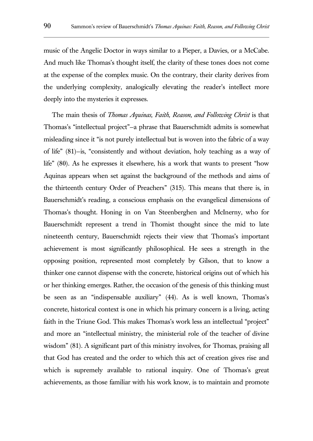music of the Angelic Doctor in ways similar to a Pieper, a Davies, or a McCabe. And much like Thomas's thought itself, the clarity of these tones does not come at the expense of the complex music. On the contrary, their clarity derives from the underlying complexity, analogically elevating the reader's intellect more deeply into the mysteries it expresses.

The main thesis of *Thomas Aquinas, Faith, Reason, and Following Christ* is that Thomas's "intellectual project"—a phrase that Bauerschmidt admits is somewhat misleading since it "is not purely intellectual but is woven into the fabric of a way of life" (81)—is, "consistently and without deviation, holy teaching as a way of life" (80). As he expresses it elsewhere, his a work that wants to present "how Aquinas appears when set against the background of the methods and aims of the thirteenth century Order of Preachers" (315). This means that there is, in Bauerschmidt's reading, a conscious emphasis on the evangelical dimensions of Thomas's thought. Honing in on Van Steenberghen and McInerny, who for Bauerschmidt represent a trend in Thomist thought since the mid to late nineteenth century, Bauerschmidt rejects their view that Thomas's important achievement is most significantly philosophical. He sees a strength in the opposing position, represented most completely by Gilson, that to know a thinker one cannot dispense with the concrete, historical origins out of which his or her thinking emerges. Rather, the occasion of the genesis of this thinking must be seen as an "indispensable auxiliary" (44). As is well known, Thomas's concrete, historical context is one in which his primary concern is a living, acting faith in the Triune God. This makes Thomas's work less an intellectual "project" and more an "intellectual ministry, the ministerial role of the teacher of divine wisdom" (81). A significant part of this ministry involves, for Thomas, praising all that God has created and the order to which this act of creation gives rise and which is supremely available to rational inquiry. One of Thomas's great achievements, as those familiar with his work know, is to maintain and promote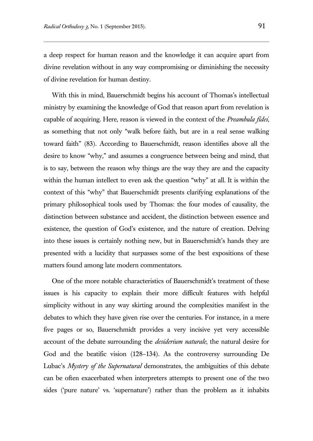a deep respect for human reason and the knowledge it can acquire apart from divine revelation without in any way compromising or diminishing the necessity of divine revelation for human destiny.

With this in mind, Bauerschmidt begins his account of Thomas's intellectual ministry by examining the knowledge of God that reason apart from revelation is capable of acquiring. Here, reason is viewed in the context of the *Preambula fidei*, as something that not only "walk before faith, but are in a real sense walking toward faith" (83). According to Bauerschmidt, reason identifies above all the desire to know "why," and assumes a congruence between being and mind, that is to say, between the reason why things are the way they are and the capacity within the human intellect to even ask the question "why" at all. It is within the context of this "why" that Bauerschmidt presents clarifying explanations of the primary philosophical tools used by Thomas: the four modes of causality, the distinction between substance and accident, the distinction between essence and existence, the question of God's existence, and the nature of creation. Delving into these issues is certainly nothing new, but in Bauerschmidt's hands they are presented with a lucidity that surpasses some of the best expositions of these matters found among late modern commentators.

One of the more notable characteristics of Bauerschmidt's treatment of these issues is his capacity to explain their more difficult features with helpful simplicity without in any way skirting around the complexities manifest in the debates to which they have given rise over the centuries. For instance, in a mere five pages or so, Bauerschmidt provides a very incisive yet very accessible account of the debate surrounding the *desiderium naturale*, the natural desire for God and the beatific vision (128–134). As the controversy surrounding De Lubac's *Mystery of the Supernatural* demonstrates, the ambiguities of this debate can be often exacerbated when interpreters attempts to present one of the two sides ('pure nature' vs. 'supernature') rather than the problem as it inhabits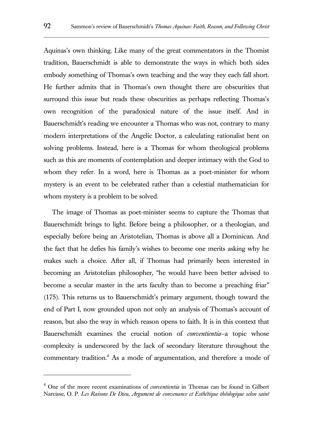Aquinas's own thinking. Like many of the great commentators in the Thomist tradition, Bauerschmidt is able to demonstrate the ways in which both sides embody something of Thomas's own teaching and the way they each fall short. He further admits that in Thomas's own thought there are obscurities that surround this issue but reads these obscurities as perhaps reflecting Thomas's own recognition of the paradoxical nature of the issue itself. And in Bauerschmidt's reading we encounter a Thomas who was not, contrary to many modern interpretations of the Angelic Doctor, a calculating rationalist bent on solving problems. Instead, here is a Thomas for whom theological problems such as this are moments of contemplation and deeper intimacy with the God to whom they refer. In a word, here is Thomas as a poet-minister for whom mystery is an event to be celebrated rather than a celestial mathematician for whom mystery is a problem to be solved.

The image of Thomas as poet-minister seems to capture the Thomas that Bauerschmidt brings to light. Before being a philosopher, or a theologian, and especially before being an Aristotelian, Thomas is above all a Dominican. And the fact that he defies his family's wishes to become one merits asking why he makes such a choice. After all, if Thomas had primarily been interested in becoming an Aristotelian philosopher, "he would have been better advised to become a secular master in the arts faculty than to become a preaching friar" (175). This returns us to Bauerschmidt's primary argument, though toward the end of Part I, now grounded upon not only an analysis of Thomas's account of reason, but also the way in which reason opens to faith. It is in this context that Bauerschmidt examines the crucial notion of *conventientia*—a topic whose complexity is underscored by the lack of secondary literature throughout the commentary tradition.<sup>4</sup> As a mode of argumentation, and therefore a mode of

l

<sup>4</sup> One of the more recent examinations of *conventientia* in Thomas can be found in Gilbert Narcisse, O. P. *Les Raisons De Dieu, Argument de convenance et Esthétique théologique selon saint*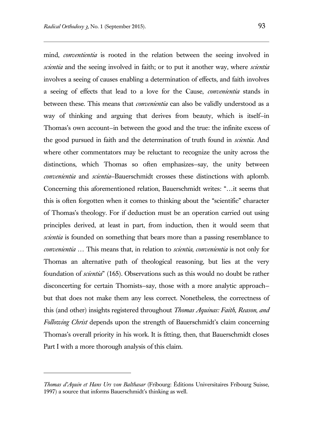mind, *conventientia* is rooted in the relation between the seeing involved in *scientia* and the seeing involved in faith; or to put it another way, where *scientia* involves a seeing of causes enabling a determination of effects, and faith involves a seeing of effects that lead to a love for the Cause, *convenientia* stands in between these. This means that *convenientia* can also be validly understood as a way of thinking and arguing that derives from beauty, which is itself—in Thomas's own account—in between the good and the true: the infinite excess of the good pursued in faith and the determination of truth found in *scientia*. And where other commentators may be reluctant to recognize the unity across the distinctions, which Thomas so often emphasizes—say, the unity between *convenientia* and *scientia*—Bauerschmidt crosses these distinctions with aplomb. Concerning this aforementioned relation, Bauerschmidt writes: "…it seems that this is often forgotten when it comes to thinking about the "scientific" character of Thomas's theology. For if deduction must be an operation carried out using principles derived, at least in part, from induction, then it would seem that *scientia* is founded on something that bears more than a passing resemblance to *convenientia* … This means that, in relation to *scientia*, *convenientia* is not only for Thomas an alternative path of theological reasoning, but lies at the very foundation of *scientia*" (165). Observations such as this would no doubt be rather disconcerting for certain Thomists—say, those with a more analytic approach but that does not make them any less correct. Nonetheless, the correctness of this (and other) insights registered throughout *Thomas Aquinas: Faith, Reason, and Following Christ* depends upon the strength of Bauerschmidt's claim concerning Thomas's overall priority in his work. It is fitting, then, that Bauerschmidt closes Part I with a more thorough analysis of this claim.

l

*Thomas d'Aquin et Hans Urs von Balthasar* (Fribourg: Éditions Universitaires Fribourg Suisse, 1997) a source that informs Bauerschmidt's thinking as well.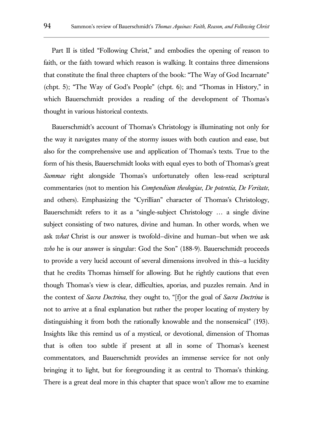Part II is titled "Following Christ," and embodies the opening of reason to faith, or the faith toward which reason is walking. It contains three dimensions that constitute the final three chapters of the book: "The Way of God Incarnate" (chpt. 5); "The Way of God's People" (chpt. 6); and "Thomas in History," in which Bauerschmidt provides a reading of the development of Thomas's thought in various historical contexts.

Bauerschmidt's account of Thomas's Christology is illuminating not only for the way it navigates many of the stormy issues with both caution and ease, but also for the comprehensive use and application of Thomas's texts. True to the form of his thesis, Bauerschmidt looks with equal eyes to both of Thomas's great *Summae* right alongside Thomas's unfortunately often less-read scriptural commentaries (not to mention his *Compendium theologiae*, *De potentia*, *De Veritate*, and others). Emphasizing the "Cyrillian" character of Thomas's Christology, Bauerschmidt refers to it as a "single-subject Christology … a single divine subject consisting of two natures, divine and human. In other words, when we ask *what* Christ is our answer is twofold—divine and human—but when we ask *who* he is our answer is singular: God the Son" (188-9). Bauerschmidt proceeds to provide a very lucid account of several dimensions involved in this—a lucidity that he credits Thomas himself for allowing. But he rightly cautions that even though Thomas's view is clear, difficulties, aporias, and puzzles remain. And in the context of *Sacra Doctrina*, they ought to, "[f]or the goal of *Sacra Doctrina* is not to arrive at a final explanation but rather the proper locating of mystery by distinguishing it from both the rationally knowable and the nonsensical" (193). Insights like this remind us of a mystical, or devotional, dimension of Thomas that is often too subtle if present at all in some of Thomas's keenest commentators, and Bauerschmidt provides an immense service for not only bringing it to light, but for foregrounding it as central to Thomas's thinking. There is a great deal more in this chapter that space won't allow me to examine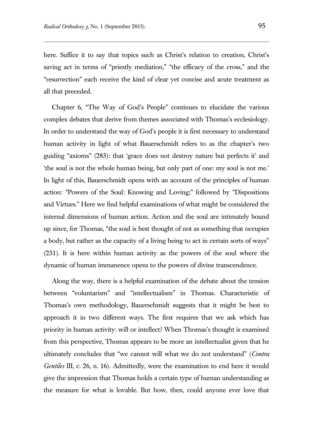here. Suffice it to say that topics such as Christ's relation to creation, Christ's saving act in terms of "priestly mediation," "the efficacy of the cross," and the "resurrection" each receive the kind of clear yet concise and acute treatment as all that preceded.

Chapter 6, "The Way of God's People" continues to elucidate the various complex debates that derive from themes associated with Thomas's ecclesiology. In order to understand the way of God's people it is first necessary to understand human activity in light of what Bauerschmidt refers to as the chapter's two guiding "axioms" (283): that 'grace does not destroy nature but perfects it' and 'the soul is not the whole human being, but only part of one: my soul is not me.' In light of this, Bauerschmidt opens with an account of the principles of human action: "Powers of the Soul: Knowing and Loving;" followed by "Dispositions and Virtues." Here we find helpful examinations of what might be considered the internal dimensions of human action. Action and the soul are intimately bound up since, for Thomas, "the soul is best thought of not as something that occupies a body, but rather as the capacity of a living being to act in certain sorts of ways" (231). It is here within human activity as the powers of the soul where the dynamic of human immanence opens to the powers of divine transcendence.

Along the way, there is a helpful examination of the debate about the tension between "voluntarism" and "intellectualism" in Thomas. Characteristic of Thomas's own methodology, Bauerschmidt suggests that it might be best to approach it in two different ways. The first requires that we ask which has priority in human activity: will or intellect? When Thomas's thought is examined from this perspective, Thomas appears to be more an intellectualist given that he ultimately concludes that "we cannot will what we do not understand" (*Contra Gentiles* III, c. 26, n. 16). Admittedly, were the examination to end here it would give the impression that Thomas holds a certain type of human understanding as the measure for what is lovable. But how, then, could anyone ever love that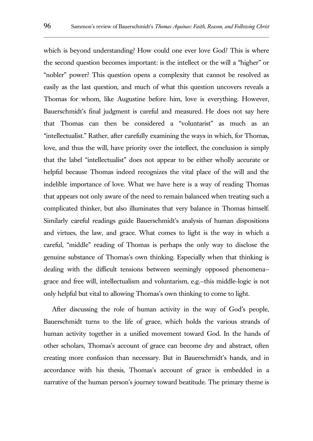which is beyond understanding? How could one ever love God? This is where the second question becomes important: is the intellect or the will a "higher" or "nobler" power? This question opens a complexity that cannot be resolved as easily as the last question, and much of what this question uncovers reveals a Thomas for whom, like Augustine before him, love is everything. However, Bauerschmidt's final judgment is careful and measured. He does not say here that Thomas can then be considered a "voluntarist" as much as an "intellectualist." Rather, after carefully examining the ways in which, for Thomas, love, and thus the will, have priority over the intellect, the conclusion is simply that the label "intellectualist" does not appear to be either wholly accurate or helpful because Thomas indeed recognizes the vital place of the will and the indelible importance of love. What we have here is a way of reading Thomas that appears not only aware of the need to remain balanced when treating such a complicated thinker, but also illuminates that very balance in Thomas himself. Similarly careful readings guide Bauerschmidt's analysis of human dispositions and virtues, the law, and grace. What comes to light is the way in which a careful, "middle" reading of Thomas is perhaps the only way to disclose the genuine substance of Thomas's own thinking. Especially when that thinking is dealing with the difficult tensions between seemingly opposed phenomena grace and free will, intellectualism and voluntarism, e.g.—this middle-logic is not only helpful but vital to allowing Thomas's own thinking to come to light.

After discussing the role of human activity in the way of God's people, Bauerschmidt turns to the life of grace, which holds the various strands of human activity together in a unified movement toward God. In the hands of other scholars, Thomas's account of grace can become dry and abstract, often creating more confusion than necessary. But in Bauerschmidt's hands, and in accordance with his thesis, Thomas's account of grace is embedded in a narrative of the human person's journey toward beatitude. The primary theme is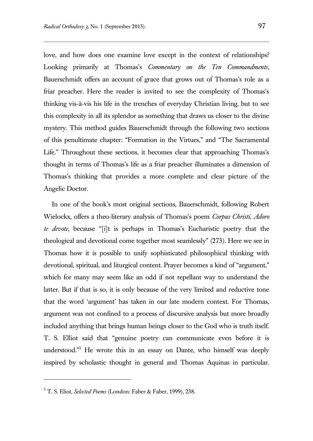love, and how does one examine love except in the context of relationships? Looking primarily at Thomas's *Commentary on the Ten Commandments*, Bauerschmidt offers an account of grace that grows out of Thomas's role as a friar preacher. Here the reader is invited to see the complexity of Thomas's thinking vis-à-vis his life in the trenches of everyday Christian living, but to see this complexity in all its splendor as something that draws us closer to the divine mystery. This method guides Bauerschmidt through the following two sections of this penultimate chapter: "Formation in the Virtues," and "The Sacramental Life." Throughout these sections, it becomes clear that approaching Thomas's thought in terms of Thomas's life as a friar preacher illuminates a dimension of Thomas's thinking that provides a more complete and clear picture of the Angelic Doctor.

In one of the book's most original sections, Bauerschmidt, following Robert Wielockx, offers a theo-literary analysis of Thomas's poem *Corpus Christi, Adoro te devote*, because "[i]t is perhaps in Thomas's Eucharistic poetry that the theological and devotional come together most seamlessly" (273). Here we see in Thomas how it is possible to unify sophisticated philosophical thinking with devotional, spiritual, and liturgical content. Prayer becomes a kind of "argument," which for many may seem like an odd if not repellant way to understand the latter. But if that is so, it is only because of the very limited and reductive tone that the word 'argument' has taken in our late modern context. For Thomas, argument was not confined to a process of discursive analysis but more broadly included anything that brings human beings closer to the God who is truth itself. T. S. Elliot said that "genuine poetry can communicate even before it is understood." <sup>5</sup> He wrote this in an essay on Dante, who himself was deeply inspired by scholastic thought in general and Thomas Aquinas in particular.

 $\overline{a}$ 

<sup>5</sup> T. S. Eliot, *Selected Poems* (London: Faber & Faber, 1999), 238.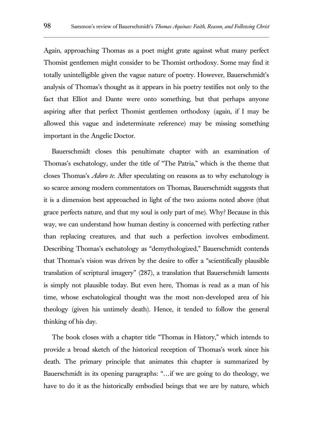Again, approaching Thomas as a poet might grate against what many perfect Thomist gentlemen might consider to be Thomist orthodoxy. Some may find it totally unintelligible given the vague nature of poetry. However, Bauerschmidt's analysis of Thomas's thought as it appears in his poetry testifies not only to the fact that Elliot and Dante were onto something, but that perhaps anyone aspiring after that perfect Thomist gentlemen orthodoxy (again, if I may be allowed this vague and indeterminate reference) may be missing something important in the Angelic Doctor.

Bauerschmidt closes this penultimate chapter with an examination of Thomas's eschatology, under the title of "The Patria," which is the theme that closes Thomas's *Adoro te*. After speculating on reasons as to why eschatology is so scarce among modern commentators on Thomas, Bauerschmidt suggests that it is a dimension best approached in light of the two axioms noted above (that grace perfects nature, and that my soul is only part of me). Why? Because in this way, we can understand how human destiny is concerned with perfecting rather than replacing creatures, and that such a perfection involves embodiment. Describing Thomas's eschatology as "demythologized," Bauerschmidt contends that Thomas's vision was driven by the desire to offer a "scientifically plausible translation of scriptural imagery" (287), a translation that Bauerschmidt laments is simply not plausible today. But even here, Thomas is read as a man of his time, whose eschatological thought was the most non-developed area of his theology (given his untimely death). Hence, it tended to follow the general thinking of his day.

The book closes with a chapter title "Thomas in History," which intends to provide a broad sketch of the historical reception of Thomas's work since his death. The primary principle that animates this chapter is summarized by Bauerschmidt in its opening paragraphs: "…if we are going to do theology, we have to do it as the historically embodied beings that we are by nature, which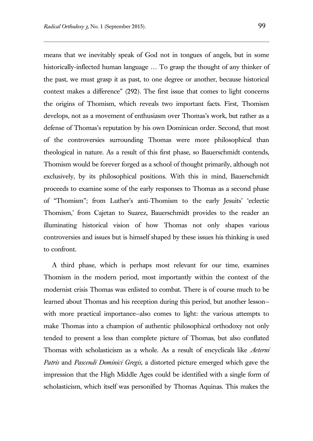means that we inevitably speak of God not in tongues of angels, but in some historically-inflected human language … To grasp the thought of any thinker of the past, we must grasp it as past, to one degree or another, because historical context makes a difference" (292). The first issue that comes to light concerns the origins of Thomism, which reveals two important facts. First, Thomism develops, not as a movement of enthusiasm over Thomas's work, but rather as a defense of Thomas's reputation by his own Dominican order. Second, that most of the controversies surrounding Thomas were more philosophical than theological in nature. As a result of this first phase, so Bauerschmidt contends, Thomism would be forever forged as a school of thought primarily, although not exclusively, by its philosophical positions. With this in mind, Bauerschmidt proceeds to examine some of the early responses to Thomas as a second phase of "Thomism"; from Luther's anti-Thomism to the early Jesuits' 'eclectic Thomism,' from Cajetan to Suarez, Bauerschmidt provides to the reader an illuminating historical vision of how Thomas not only shapes various controversies and issues but is himself shaped by these issues his thinking is used to confront.

A third phase, which is perhaps most relevant for our time, examines Thomism in the modern period, most importantly within the context of the modernist crisis Thomas was enlisted to combat. There is of course much to be learned about Thomas and his reception during this period, but another lesson with more practical importance—also comes to light: the various attempts to make Thomas into a champion of authentic philosophical orthodoxy not only tended to present a less than complete picture of Thomas, but also conflated Thomas with scholasticism as a whole. As a result of encyclicals like *Aeterni Patris* and *Pascendi Dominici Gregis*, a distorted picture emerged which gave the impression that the High Middle Ages could be identified with a single form of scholasticism, which itself was personified by Thomas Aquinas. This makes the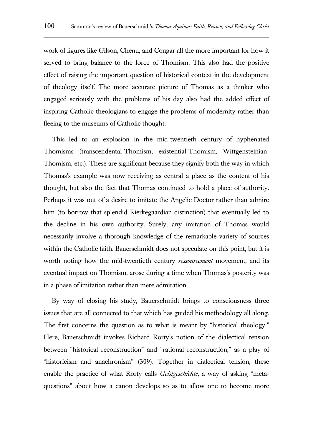work of figures like Gilson, Chenu, and Congar all the more important for how it served to bring balance to the force of Thomism. This also had the positive effect of raising the important question of historical context in the development of theology itself. The more accurate picture of Thomas as a thinker who engaged seriously with the problems of his day also had the added effect of inspiring Catholic theologians to engage the problems of modernity rather than fleeing to the museums of Catholic thought.

This led to an explosion in the mid-twentieth century of hyphenated Thomisms (transcendental-Thomism, existential-Thomism, Wittgensteinian-Thomism, etc.). These are significant because they signify both the way in which Thomas's example was now receiving as central a place as the content of his thought, but also the fact that Thomas continued to hold a place of authority. Perhaps it was out of a desire to imitate the Angelic Doctor rather than admire him (to borrow that splendid Kierkegaardian distinction) that eventually led to the decline in his own authority. Surely, any imitation of Thomas would necessarily involve a thorough knowledge of the remarkable variety of sources within the Catholic faith. Bauerschmidt does not speculate on this point, but it is worth noting how the mid-twentieth century *ressourcement* movement, and its eventual impact on Thomism, arose during a time when Thomas's posterity was in a phase of imitation rather than mere admiration.

By way of closing his study, Bauerschmidt brings to consciousness three issues that are all connected to that which has guided his methodology all along. The first concerns the question as to what is meant by "historical theology." Here, Bauerschmidt invokes Richard Rorty's notion of the dialectical tension between "historical reconstruction" and "rational reconstruction," as a play of "historicism and anachronism" (309). Together in dialectical tension, these enable the practice of what Rorty calls *Geistgeschichte*, a way of asking "metaquestions" about how a canon develops so as to allow one to become more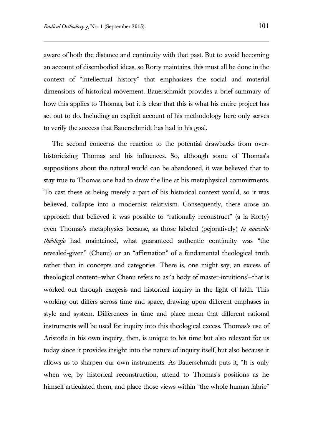aware of both the distance and continuity with that past. But to avoid becoming an account of disembodied ideas, so Rorty maintains, this must all be done in the context of "intellectual history" that emphasizes the social and material dimensions of historical movement. Bauerschmidt provides a brief summary of how this applies to Thomas, but it is clear that this is what his entire project has set out to do. Including an explicit account of his methodology here only serves to verify the success that Bauerschmidt has had in his goal.

The second concerns the reaction to the potential drawbacks from overhistoricizing Thomas and his influences. So, although some of Thomas's suppositions about the natural world can be abandoned, it was believed that to stay true to Thomas one had to draw the line at his metaphysical commitments. To cast these as being merely a part of his historical context would, so it was believed, collapse into a modernist relativism. Consequently, there arose an approach that believed it was possible to "rationally reconstruct" (a la Rorty) even Thomas's metaphysics because, as those labeled (pejoratively) *la nouvelle théologie* had maintained, what guaranteed authentic continuity was "the revealed-given" (Chenu) or an "affirmation" of a fundamental theological truth rather than in concepts and categories. There is, one might say, an excess of theological content—what Chenu refers to as 'a body of master-intuitions'—that is worked out through exegesis and historical inquiry in the light of faith. This working out differs across time and space, drawing upon different emphases in style and system. Differences in time and place mean that different rational instruments will be used for inquiry into this theological excess. Thomas's use of Aristotle in his own inquiry, then, is unique to his time but also relevant for us today since it provides insight into the nature of inquiry itself, but also because it allows us to sharpen our own instruments. As Bauerschmidt puts it, "It is only when we, by historical reconstruction, attend to Thomas's positions as he himself articulated them, and place those views within "the whole human fabric"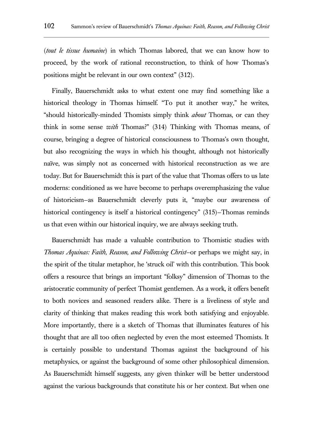(*tout le tissue humaine*) in which Thomas labored, that we can know how to proceed, by the work of rational reconstruction, to think of how Thomas's positions might be relevant in our own context" (312).

Finally, Bauerschmidt asks to what extent one may find something like a historical theology in Thomas himself. "To put it another way," he writes, "should historically-minded Thomists simply think *about* Thomas, or can they think in some sense *with* Thomas?" (314) Thinking with Thomas means, of course, bringing a degree of historical consciousness to Thomas's own thought, but also recognizing the ways in which his thought, although not historically naïve, was simply not as concerned with historical reconstruction as we are today. But for Bauerschmidt this is part of the value that Thomas offers to us late moderns: conditioned as we have become to perhaps overemphasizing the value of historicism—as Bauerschmidt cleverly puts it, "maybe our awareness of historical contingency is itself a historical contingency" (315)—Thomas reminds us that even within our historical inquiry, we are always seeking truth.

Bauerschmidt has made a valuable contribution to Thomistic studies with *Thomas Aquinas: Faith, Reason, and Following Christ*—or perhaps we might say, in the spirit of the titular metaphor, he 'struck oil' with this contribution. This book offers a resource that brings an important "folksy" dimension of Thomas to the aristocratic community of perfect Thomist gentlemen. As a work, it offers benefit to both novices and seasoned readers alike. There is a liveliness of style and clarity of thinking that makes reading this work both satisfying and enjoyable. More importantly, there is a sketch of Thomas that illuminates features of his thought that are all too often neglected by even the most esteemed Thomists. It is certainly possible to understand Thomas against the background of his metaphysics, or against the background of some other philosophical dimension. As Bauerschmidt himself suggests, any given thinker will be better understood against the various backgrounds that constitute his or her context. But when one